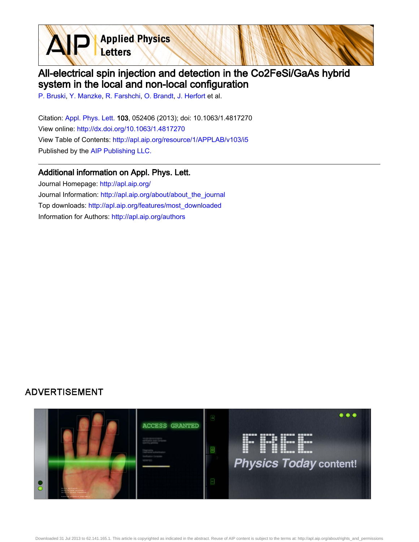**Applied Physics** Letters

## All-electrical spin injection and detection in the Co2FeSi/GaAs hybrid system in the local and non-local configuration

[P. Bruski,](http://apl.aip.org/search?sortby=newestdate&q=&searchzone=2&searchtype=searchin&faceted=faceted&key=AIP_ALL&possible1=P. Bruski&possible1zone=author&alias=&displayid=AIP&ver=pdfcov) [Y. Manzke,](http://apl.aip.org/search?sortby=newestdate&q=&searchzone=2&searchtype=searchin&faceted=faceted&key=AIP_ALL&possible1=Y. Manzke&possible1zone=author&alias=&displayid=AIP&ver=pdfcov) [R. Farshchi](http://apl.aip.org/search?sortby=newestdate&q=&searchzone=2&searchtype=searchin&faceted=faceted&key=AIP_ALL&possible1=R. Farshchi&possible1zone=author&alias=&displayid=AIP&ver=pdfcov), [O. Brandt,](http://apl.aip.org/search?sortby=newestdate&q=&searchzone=2&searchtype=searchin&faceted=faceted&key=AIP_ALL&possible1=O. Brandt&possible1zone=author&alias=&displayid=AIP&ver=pdfcov) [J. Herfort](http://apl.aip.org/search?sortby=newestdate&q=&searchzone=2&searchtype=searchin&faceted=faceted&key=AIP_ALL&possible1=J. Herfort&possible1zone=author&alias=&displayid=AIP&ver=pdfcov) et al.

Citation: [Appl. Phys. Lett. 1](http://apl.aip.org/?ver=pdfcov)03, 052406 (2013); doi: 10.1063/1.4817270 View online: [http://dx.doi.org/10.1063/1.4817270](http://link.aip.org/link/doi/10.1063/1.4817270?ver=pdfcov) View Table of Contents: [http://apl.aip.org/resource/1/APPLAB/v103/i5](http://apl.aip.org/resource/1/APPLAB/v103/i5?ver=pdfcov) Published by the [AIP Publishing LLC.](http://www.aip.org/?ver=pdfcov)

## Additional information on Appl. Phys. Lett.

Journal Homepage: [http://apl.aip.org/](http://apl.aip.org/?ver=pdfcov) Journal Information: [http://apl.aip.org/about/about\\_the\\_journal](http://apl.aip.org/about/about_the_journal?ver=pdfcov) Top downloads: [http://apl.aip.org/features/most\\_downloaded](http://apl.aip.org/features/most_downloaded?ver=pdfcov) Information for Authors: [http://apl.aip.org/authors](http://apl.aip.org/authors?ver=pdfcov)

## **ADVERTISEMENT**

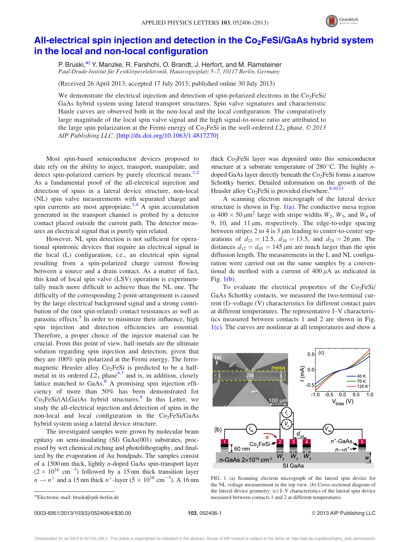

## <span id="page-1-0"></span>All-electrical spin injection and detection in the  $Co<sub>2</sub>FeSi/GaAs$  hybrid system [in the local and non-local configuration](http://dx.doi.org/10.1063/1.4817270)

P. Bruski,<sup>a)</sup> Y. Manzke, R. Farshchi, O. Brandt, J. Herfort, and M. Ramsteiner Paul-Drude-Institut für Festkörperelektronik, Hausvogteiplatz 5–7, 10117 Berlin, Germany

(Received 26 April 2013; accepted 17 July 2013; published online 30 July 2013)

We demonstrate the electrical injection and detection of spin-polarized electrons in the  $Co<sub>2</sub>FeSi/$ GaAs hybrid system using lateral transport structures. Spin valve signatures and characteristic Hanle curves are observed both in the non-local and the local configuration. The comparatively large magnitude of the local spin valve signal and the high signal-to-noise ratio are attributed to the large spin polarization at the Fermi energy of  $Co<sub>2</sub>FeSi$  in the well-ordered  $L2<sub>1</sub>$  phase. © 2013 AIP Publishing LLC. [\[http://dx.doi.org/10.1063/1.4817270](http://dx.doi.org/10.1063/1.4817270)]

Most spin-based semiconductor devices proposed to date rely on the ability to inject, transport, manipulate, and detect spin-polarized carriers by purely electrical means.<sup>[1,2](#page-4-0)</sup> As a fundamental proof of the all-electrical injection and detection of spins in a lateral device structure, non-local (NL) spin valve measurements with separated charge and spin currents are most appropriate.<sup>[3,4](#page-4-0)</sup> A spin accumulation generated in the transport channel is probed by a detector contact placed outside the current path. The detector measures an electrical signal that is purely spin related.

However, NL spin detection is not sufficient for operational spintronic devices that require an electrical signal in the local (L) configuration, i.e., an electrical spin signal resulting from a spin-polarized charge current flowing between a source and a drain contact. As a matter of fact, this kind of local spin valve (LSV) operation is experimentally much more difficult to achieve than the NL one. The difficulty of the corresponding 2-point-arrangement is caused by the large electrical background signal and a strong contribution of the (not spin-related) contact resistances as well as parasitic effects. $5$  In order to minimize their influence, high spin injection and detection efficiencies are essential. Therefore, a proper choice of the injector material can be crucial. From this point of view, half-metals are the ultimate solution regarding spin injection and detection, given that they are 100% spin polarized at the Fermi energy. The ferromagnetic Heusler alloy  $Co<sub>2</sub>FeSi$  is predicted to be a halfmetal in its ordered  $L2_1$  phase<sup>[6](#page-4-0),[7](#page-4-0)</sup> and is, in addition, closely lattice matched to  $GaAs.<sup>8</sup>$  $GaAs.<sup>8</sup>$  $GaAs.<sup>8</sup>$  A promising spin injection efficiency of more than 50% has been demonstrated for  $Co<sub>2</sub>FeSi/(Al,Ga)As$  hybrid structures.<sup>[9](#page-4-0)</sup> In this Letter, we study the all-electrical injection and detection of spins in the non-local and local configuration in the  $Co<sub>2</sub>FeSi/GaAs$ hybrid system using a lateral device structure.

The investigated samples were grown by molecular beam epitaxy on semi-insulating (SI) GaAs(001) substrates, processed by wet chemical etching and photolithography, and finalized by the evaporation of Au bondpads. The samples consist of a 1500 nm thick, lightly n-doped GaAs spin-transport layer  $(2 \times 10^{16} \text{ cm}^{-3})$  followed by a 15 nm thick transition layer  $n \rightarrow n^+$  and a 15 nm thick  $n^+$ -layer (5 × 10<sup>18</sup> cm<sup>-3</sup>). A 16 nm thick  $Co<sub>2</sub>FeSi$  layer was deposited onto this semiconductor structure at a substrate temperature of  $280^{\circ}$ C. The highly *n*doped GaAs layer directly beneath the  $Co<sub>2</sub>FeSi$  forms a narrow Schottky barrier. Detailed information on the growth of the Heusler alloy  $Co<sub>2</sub>FeSi$  is provided elsewhere.<sup>[8,10,11](#page-4-0)</sup>

A scanning electron micrograph of the lateral device structure is shown in Fig.  $1(a)$ . The conductive mesa region is  $400 \times 50 \,\mu\text{m}^2$  large with stripe widths  $W_2$ ,  $W_3$ , and  $W_4$  of 9, 10, and 11  $\mu$ m, respectively. The edge-to-edge spacing between stripes 2 to 4 is 3  $\mu$ m leading to center-to-center separations of  $d_{23} = 12.5$ ,  $d_{34} = 13.5$ , and  $d_{24} = 26 \,\mu \text{m}$ . The distances  $d_{12} = d_{45} = 145 \,\mu\text{m}$  are much larger than the spin diffusion length. The measurements in the L and NL configuration were carried out on the same samples by a conventional dc method with a current of  $400 \mu A$  as indicated in Fig. 1(b).

To evaluate the electrical properties of the  $Co<sub>2</sub>FeSi/$ GaAs Schottky contacts, we measured the two-terminal current (I)–voltage (V) characteristics for different contact pairs at different temperatures. The representative I–V characteristics measured between contacts 1 and 2 are shown in Fig. 1(c). The curves are nonlinear at all temperatures and show a



FIG. 1. (a) Scanning electron micrograph of the lateral spin device for the NL voltage measurement in the top view. (b) Cross-sectional diagram of the lateral device geometry. (c) I–V characteristics of the lateral spin device a)Electronic mail: [bruski@pdi-berlin.de](mailto:bruski@pdi-berlin.de) entertainment of the measured between contacts 1 and 2 at different temperatures.

Downloaded 31 Jul 2013 to 62.141.165.1. This article is copyrighted as indicated in the abstract. Reuse of AIP content is subject to the terms at: http://apl.aip.org/about/rights\_and\_permissions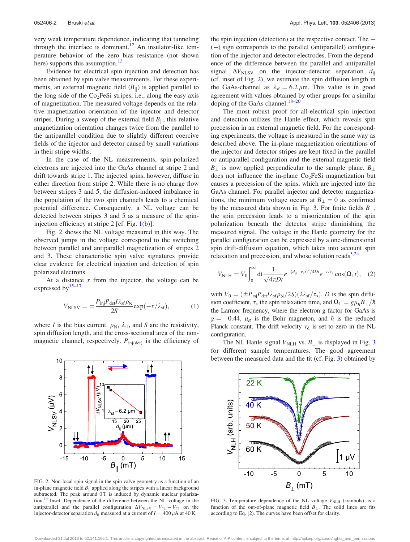<span id="page-2-0"></span>very weak temperature dependence, indicating that tunneling through the interface is dominant.<sup>[12](#page-4-0)</sup> An insulator-like temperature behavior of the zero bias resistance (not shown here) supports this assumption.<sup>[13](#page-4-0)</sup>

Evidence for electrical spin injection and detection has been obtained by spin valve measurements. For these experiments, an external magnetic field  $(B_{\parallel})$  is applied parallel to the long side of the Co<sub>2</sub>FeSi stripes, i.e., along the easy axis of magnetization. The measured voltage depends on the relative magnetization orientation of the injector and detector stripes. During a sweep of the external field  $B_{\parallel}$ , this relative magnetization orientation changes twice from the parallel to the antiparallel condition due to slightly different coercive fields of the injector and detector caused by small variations in their stripe widths.

In the case of the NL measurements, spin-polarized electrons are injected into the GaAs channel at stripe 2 and drift towards stripe 1. The injected spins, however, diffuse in either direction from stripe 2. While there is no charge flow between stripes 3 and 5, the diffusion-induced imbalance in the population of the two spin channels leads to a chemical potential difference. Consequently, a NL voltage can be detected between stripes 3 and 5 as a measure of the spininjection efficiency at stripe 2 [cf. Fig. [1\(b\)](#page-1-0)].

Fig. 2 shows the NL voltage measured in this way. The observed jumps in the voltage correspond to the switching between parallel and antiparallel magnetization of stripes 2 and 3. These characteristic spin valve signatures provide clear evidence for electrical injection and detection of spin polarized electrons.

At a distance  $x$  from the injector, the voltage can be expressed by $15-17$ 

$$
V_{\text{NLSV}} = \pm \frac{P_{\text{inj}} P_{\text{det}} I \lambda_{\text{sf}} \rho_{\text{N}}}{2S} \exp(-x/\lambda_{\text{sf}}),\tag{1}
$$

where *I* is the bias current.  $\rho_N$ ,  $\lambda_{sf}$ , and *S* are the resistivity, spin diffusion length, and the cross-sectional area of the nonmagnetic channel, respectively.  $P_{\text{inj(det)}}$  is the efficiency of



FIG. 2. Non-local spin signal in the spin valve geometry as a function of an in-plane magnetic field  $B_{\parallel}$  applied along the stripes with a linear background subtracted. The peak around 0T is induced by dynamic nuclear polarization.<sup>14</sup> Inset: Dependence of the difference between the NL voltage in the antiparallel and the parallel configuration  $\Delta V_{\text{NLSV}} = V_{\uparrow\downarrow} - V_{\uparrow\uparrow}$  on the injector-detector separation  $d_{ij}$  measured at a current of  $I = 400 \mu A$  at 40 K.

the spin injection (detection) at the respective contact. The  $+$  $(-)$  sign corresponds to the parallel (antiparallel) configuration of the injector and detector electrodes. From the dependence of the difference between the parallel and antiparallel signal  $\Delta V_{\text{NLSV}}$  on the injector-detector separation  $d_{\text{ij}}$ (cf. inset of Fig. 2), we estimate the spin diffusion length in the GaAs-channel as  $\lambda_{\rm sf} = 6.2 \,\mu$ m. This value is in good agreement with values obtained by other groups for a similar doping of the GaAs channel.<sup>[18–20](#page-4-0)</sup>

The most robust proof for all-electrical spin injection and detection utilizes the Hanle effect, which reveals spin precession in an external magnetic field. For the corresponding experiments, the voltage is measured in the same way as described above. The in-plane magnetization orientations of the injector and detector stripes are kept fixed in the parallel or antiparallel configuration and the external magnetic field  $B_{\perp}$  is now applied perpendicular to the sample plane.  $B_{\perp}$ does not influence the in-plane  $Co<sub>2</sub>FeSi$  magnetization but causes a precession of the spins, which are injected into the GaAs channel. For parallel injector and detector magnetizations, the minimum voltage occurs at  $B_{\perp} = 0$  as confirmed by the measured data shown in Fig. 3. For finite fields  $B_{\perp}$ , the spin precession leads to a misorientation of the spin polarization beneath the detector stripe diminishing the measured signal. The voltage in the Hanle geometry for the parallel configuration can be expressed by a one-dimensional spin drift-diffusion equation, which takes into account spin relaxation and precession, and whose solution reads $3,24$ 

$$
V_{\text{NLH}} = V_0 \int_0^\infty dt \frac{1}{\sqrt{4\pi D t}} e^{-(d_{ij} - v_{\text{d}}t)^2 / 4Dt} e^{-t/\tau_s} \cos(\Omega_{\text{L}}t), \quad (2)
$$

with  $V_0 = (\pm P_{\text{inj}}P_{\text{det}}I\lambda_{\text{sf}}\rho_{\text{N}}/2S)(2\lambda_{\text{sf}}/\tau_{\text{s}})$ . D is the spin diffusion coefficient,  $\tau_s$  the spin relaxation time, and  $\Omega_L = g\mu_B B_{\perp}/\hbar$ the Larmor frequency, where the electron g factor for GaAs is  $g = -0.44$ ,  $\mu_B$  is the Bohr magneton, and  $\hbar$  is the reduced Planck constant. The drift velocity  $v_d$  is set to zero in the NL configuration.

The NL Hanle signal  $V_{\text{NLH}}$  vs.  $B_{\perp}$  is displayed in Fig. 3 for different sample temperatures. The good agreement between the measured data and the fit (cf. Fig. 3) obtained by



FIG. 3. Temperature dependence of the NL voltage  $V<sub>NLH</sub>$  (symbols) as a function of the out-of-plane magnetic field  $B_{\perp}$ . The solid lines are fits according to Eq. (2). The curves have been offset for clarity.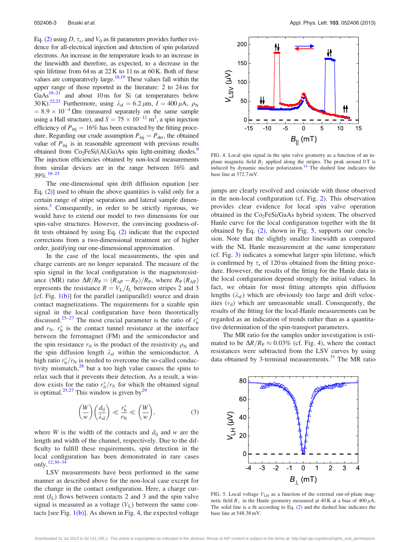<span id="page-3-0"></span>Eq. [\(2\)](#page-2-0) using D,  $\tau_s$ , and  $V_0$  as fit parameters provides further evidence for all-electrical injection and detection of spin polarized electrons. An increase in the temperature leads to an increase in the linewidth and therefore, as expected, to a decrease in the spin lifetime from 64 ns at 22 K to 11 ns at 60 K. Both of these values are comparatively large. $18,19$  These values fall within the upper range of those reported in the literature: 2 to 24 ns for  $GaAs<sup>18–21</sup>$  $GaAs<sup>18–21</sup>$  $GaAs<sup>18–21</sup>$  and about 10 ns for Si (at temperatures below 30 K).<sup>22,23</sup> Furthermore, using  $\lambda_{\text{sf}} = 6.2 \,\mu\text{m}$ ,  $I = 400 \,\mu\text{A}$ ,  $\rho_{\text{N}}$  $= 8.9 \times 10^{-4} \,\Omega$ m (measured separately on the same sample using a Hall structure), and  $S = 75 \times 10^{-12}$  m<sup>2</sup>, a spin injection efficiency of  $P_{\text{inj}} = 16\%$  has been extracted by the fitting procedure. Regarding our crude assumption  $P_{\text{inj}} = P_{\text{det}}$ , the obtained value of  $P_{\text{inj}}$  is in reasonable agreement with previous results obtained from  $Co<sub>2</sub>FeSi/(Al,Ga)As$  spin light-emitting diodes.<sup>9</sup> The injection efficiencies obtained by non-local measurements from similar devices are in the range between 16% and  $39\%$ .  $18-23$  $18-23$ 

The one-dimensional spin drift diffusion equation [see Eq. [\(2\)\]](#page-2-0) used to obtain the above quantities is valid only for a certain range of stripe separations and lateral sample dimensions.<sup>3</sup> Consequently, in order to be strictly rigorous, we would have to extend our model to two dimensions for our spin-valve structures. However, the convincing goodness-offit tests obtained by using Eq.  $(2)$  indicate that the expected corrections from a two-dimensional treatment are of higher order, justifying our one-dimensional approximation.

In the case of the local measurements, the spin and charge currents are no longer separated. The measure of the spin signal in the local configuration is the magnetoresistance (MR) ratio  $\Delta R/R_P=(R_{AP}-R_P)/R_P$ , where  $R_P(R_{AP})$ represents the resistance  $R = V_L/I_L$  between stripes 2 and 3 [cf. Fig. [1\(b\)\]](#page-1-0) for the parallel (antiparallel) source and drain contact magnetizations. The requirements for a sizable spin signal in the local configuration have been theoretically discussed.<sup>[25–27](#page-4-0)</sup> The most crucial parameter is the ratio of  $r_b^*$ and  $r_{\rm N}$ .  $r_{\rm b}^{*}$  is the contact tunnel resistance at the interface between the ferromagnet (FM) and the semiconductor and the spin resistance  $r_N$  is the product of the resistivity  $\rho_N$  and the spin diffusion length  $\lambda_{sf}$  within the semiconductor. A high ratio  $r_b^*/r_N$  is needed to overcome the so-called conductivity mismatch, $28$  but a too high value causes the spins to relax such that it prevents their detection. As a result, a window exists for the ratio  $r_b^*/r_N$  for which the obtained signal is optimal.<sup>[25,27](#page-4-0)</sup> This window is given by<sup>[29](#page-4-0)</sup>

$$
\left(\frac{W}{w}\right)\left(\frac{d_{ij}}{\lambda_{\rm sf}}\right) \ll \frac{r_{\rm b}^*}{r_{\rm N}} \ll \left(\frac{W}{w}\right),\tag{3}
$$

where *W* is the width of the contacts and  $d_{ij}$  and w are the length and width of the channel, respectively. Due to the difficulty to fulfill these requirements, spin detection in the local configuration has been demonstrated in rare cases only[.12,30](#page-4-0)–[34](#page-4-0)

LSV measurements have been performed in the same manner as described above for the non-local case except for the change in the contact configuration. Here, a charge current  $(I_L)$  flows between contacts 2 and 3 and the spin valve signal is measured as a voltage  $(V<sub>L</sub>)$  between the same contacts [see Fig.  $1(b)$ ]. As shown in Fig. 4, the expected voltage



FIG. 4. Local spin signal in the spin valve geometry as a function of an inplane magnetic field  $B_{\parallel}$  applied along the stripes. The peak around 0 T is induced by dynamic nuclear polarization.<sup>14</sup> The dashed line indicates the base line at 372.7 mV.

jumps are clearly resolved and coincide with those observed in the non-local configuration (cf. Fig. [2](#page-2-0)). This observation provides clear evidence for local spin valve operation obtained in the  $Co<sub>2</sub>FeSi/GaAs$  hybrid system. The observed Hanle curve for the local configuration together with the fit obtained by Eq. [\(2\),](#page-2-0) shown in Fig. 5, supports our conclusion. Note that the slightly smaller linewidth as compared with the NL Hanle measurement at the same temperature (cf. Fig. [3\)](#page-2-0) indicates a somewhat larger spin lifetime, which is confirmed by  $\tau_s$  of 120 ns obtained from the fitting procedure. However, the results of the fitting for the Hanle data in the local configuration depend strongly the initial values. In fact, we obtain for most fitting attempts spin diffusion lengths  $(\lambda_{\rm sf})$  which are obviously too large and drift velocities  $(v_d)$  which are unreasonable small. Consequently, the results of the fitting for the local-Hanle measurements can be regarded as an indication of trends rather than as a quantitative determination of the spin-transport parameters.

The MR ratio for the samples under investigation is estimated to be  $\Delta R/R_P \approx 0.03\%$  (cf. Fig. 4), where the contact resistances were subtracted from the LSV curves by using data obtained by 3-terminal measurements. $31$  The MR ratio



FIG. 5. Local voltage  $V<sub>LH</sub>$  as a function of the external out-of-plane magnetic field  $B_{\perp}$  in the Hanle geometry measured at 40 K at a bias of 400  $\mu$ A. The solid line is a fit according to Eq. [\(2\)](#page-2-0) and the dashed line indicates the base line at 548.38 mV.

Downloaded 31 Jul 2013 to 62.141.165.1. This article is copyrighted as indicated in the abstract. Reuse of AIP content is subject to the terms at: http://apl.aip.org/about/rights\_and\_permissions